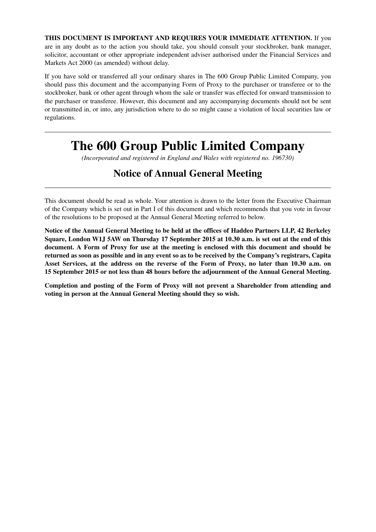**THIS DOCUMENT IS IMPORTANT AND REQUIRES YOUR IMMEDIATE ATTENTION.** If you are in any doubt as to the action you should take, you should consult your stockbroker, bank manager, solicitor, accountant or other appropriate independent adviser authorised under the Financial Services and Markets Act 2000 (as amended) without delay.

If you have sold or transferred all your ordinary shares in The 600 Group Public Limited Company, you should pass this document and the accompanying Form of Proxy to the purchaser or transferee or to the stockbroker, bank or other agent through whom the sale or transfer was effected for onward transmission to the purchaser or transferee. However, this document and any accompanying documents should not be sent or transmitted in, or into, any jurisdiction where to do so might cause a violation of local securities law or regulations.

# **The 600 Group Public Limited Company**

*(Incorporated and registered in England and Wales with registered no. 196730)*

## **Notice of Annual General Meeting**

This document should be read as whole. Your attention is drawn to the letter from the Executive Chairman of the Company which is set out in Part I of this document and which recommends that you vote in favour of the resolutions to be proposed at the Annual General Meeting referred to below.

**Notice of the Annual General Meeting to be held at the offices of Haddeo Partners LLP, 42 Berkeley Square, London W1J 5AW on Thursday 17 September 2015 at 10.30 a.m. is set out at the end of this document. A Form of Proxy for use at the meeting is enclosed with this document and should be returned as soon as possible and in any event so as to be received by the Company's registrars, Capita Asset Services, at the address on the reverse of the Form of Proxy, no later than 10.30 a.m. on 15 September 2015 or not less than 48 hours before the adjournment of the Annual General Meeting.**

**Completion and posting of the Form of Proxy will not prevent a Shareholder from attending and voting in person at the Annual General Meeting should they so wish.**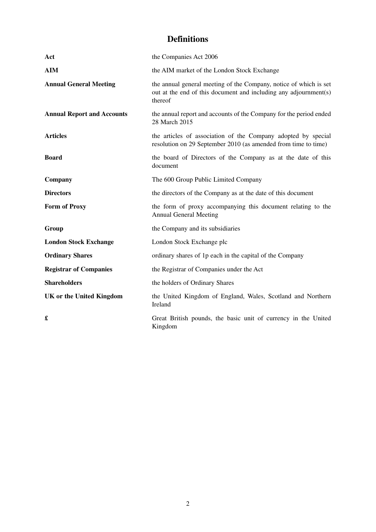## **Definitions**

| Act                               | the Companies Act 2006                                                                                                                           |
|-----------------------------------|--------------------------------------------------------------------------------------------------------------------------------------------------|
| <b>AIM</b>                        | the AIM market of the London Stock Exchange                                                                                                      |
| <b>Annual General Meeting</b>     | the annual general meeting of the Company, notice of which is set<br>out at the end of this document and including any adjournment(s)<br>thereof |
| <b>Annual Report and Accounts</b> | the annual report and accounts of the Company for the period ended<br>28 March 2015                                                              |
| <b>Articles</b>                   | the articles of association of the Company adopted by special<br>resolution on 29 September 2010 (as amended from time to time)                  |
| <b>Board</b>                      | the board of Directors of the Company as at the date of this<br>document                                                                         |
| Company                           | The 600 Group Public Limited Company                                                                                                             |
| <b>Directors</b>                  | the directors of the Company as at the date of this document                                                                                     |
| <b>Form of Proxy</b>              | the form of proxy accompanying this document relating to the<br><b>Annual General Meeting</b>                                                    |
| Group                             | the Company and its subsidiaries                                                                                                                 |
| <b>London Stock Exchange</b>      | London Stock Exchange plc                                                                                                                        |
| <b>Ordinary Shares</b>            | ordinary shares of 1p each in the capital of the Company                                                                                         |
| <b>Registrar of Companies</b>     | the Registrar of Companies under the Act                                                                                                         |
| <b>Shareholders</b>               | the holders of Ordinary Shares                                                                                                                   |
| <b>UK or the United Kingdom</b>   | the United Kingdom of England, Wales, Scotland and Northern<br>Ireland                                                                           |
| £                                 | Great British pounds, the basic unit of currency in the United<br>Kingdom                                                                        |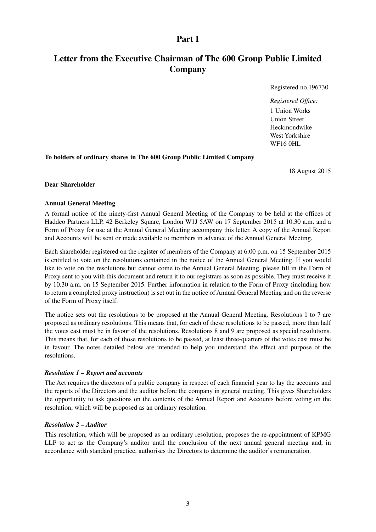### **Part I**

## **Letter from the Executive Chairman of The 600 Group Public Limited Company**

Registered no.196730

*Registered Office:* 1 Union Works Union Street Heckmondwike West Yorkshire WF16 0HL

**To holders of ordinary shares in The 600 Group Public Limited Company**

18 August 2015

#### **Dear Shareholder**

#### **Annual General Meeting**

A formal notice of the ninety-first Annual General Meeting of the Company to be held at the offices of Haddeo Partners LLP, 42 Berkeley Square, London W1J 5AW on 17 September 2015 at 10.30 a.m. and a Form of Proxy for use at the Annual General Meeting accompany this letter. A copy of the Annual Report and Accounts will be sent or made available to members in advance of the Annual General Meeting.

Each shareholder registered on the register of members of the Company at 6.00 p.m. on 15 September 2015 is entitled to vote on the resolutions contained in the notice of the Annual General Meeting. If you would like to vote on the resolutions but cannot come to the Annual General Meeting, please fill in the Form of Proxy sent to you with this document and return it to our registrars as soon as possible. They must receive it by 10.30 a.m. on 15 September 2015. Further information in relation to the Form of Proxy (including how to return a completed proxy instruction) is set out in the notice of Annual General Meeting and on the reverse of the Form of Proxy itself.

The notice sets out the resolutions to be proposed at the Annual General Meeting. Resolutions 1 to 7 are proposed as ordinary resolutions. This means that, for each of these resolutions to be passed, more than half the votes cast must be in favour of the resolutions. Resolutions 8 and 9 are proposed as special resolutions. This means that, for each of those resolutions to be passed, at least three-quarters of the votes cast must be in favour. The notes detailed below are intended to help you understand the effect and purpose of the resolutions.

#### *Resolution 1 – Report and accounts*

The Act requires the directors of a public company in respect of each financial year to lay the accounts and the reports of the Directors and the auditor before the company in general meeting. This gives Shareholders the opportunity to ask questions on the contents of the Annual Report and Accounts before voting on the resolution, which will be proposed as an ordinary resolution.

#### *Resolution 2 – Auditor*

This resolution, which will be proposed as an ordinary resolution, proposes the re-appointment of KPMG LLP to act as the Company's auditor until the conclusion of the next annual general meeting and, in accordance with standard practice, authorises the Directors to determine the auditor's remuneration.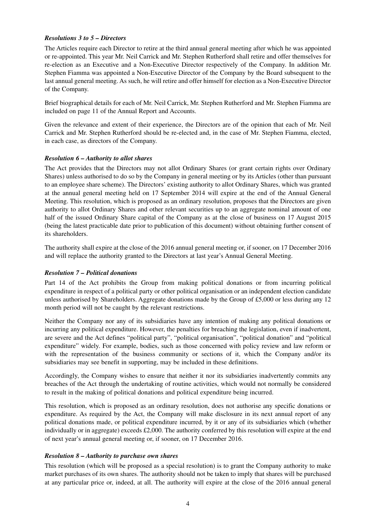#### *Resolutions 3 to 5 – Directors*

The Articles require each Director to retire at the third annual general meeting after which he was appointed or re-appointed. This year Mr. Neil Carrick and Mr. Stephen Rutherford shall retire and offer themselves for re-election as an Executive and a Non-Executive Director respectively of the Company. In addition Mr. Stephen Fiamma was appointed a Non-Executive Director of the Company by the Board subsequent to the last annual general meeting. As such, he will retire and offer himself for election as a Non-Executive Director of the Company.

Brief biographical details for each of Mr. Neil Carrick, Mr. Stephen Rutherford and Mr. Stephen Fiamma are included on page 11 of the Annual Report and Accounts.

Given the relevance and extent of their experience, the Directors are of the opinion that each of Mr. Neil Carrick and Mr. Stephen Rutherford should be re-elected and, in the case of Mr. Stephen Fiamma, elected, in each case, as directors of the Company.

#### *Resolution 6 – Authority to allot shares*

The Act provides that the Directors may not allot Ordinary Shares (or grant certain rights over Ordinary Shares) unless authorised to do so by the Company in general meeting or by its Articles (other than pursuant to an employee share scheme). The Directors' existing authority to allot Ordinary Shares, which was granted at the annual general meeting held on 17 September 2014 will expire at the end of the Annual General Meeting. This resolution, which is proposed as an ordinary resolution, proposes that the Directors are given authority to allot Ordinary Shares and other relevant securities up to an aggregate nominal amount of one half of the issued Ordinary Share capital of the Company as at the close of business on 17 August 2015 (being the latest practicable date prior to publication of this document) without obtaining further consent of its shareholders.

The authority shall expire at the close of the 2016 annual general meeting or, if sooner, on 17 December 2016 and will replace the authority granted to the Directors at last year's Annual General Meeting.

#### *Resolution 7 – Political donations*

Part 14 of the Act prohibits the Group from making political donations or from incurring political expenditure in respect of a political party or other political organisation or an independent election candidate unless authorised by Shareholders. Aggregate donations made by the Group of £5,000 or less during any 12 month period will not be caught by the relevant restrictions.

Neither the Company nor any of its subsidiaries have any intention of making any political donations or incurring any political expenditure. However, the penalties for breaching the legislation, even if inadvertent, are severe and the Act defines "political party", "political organisation", "political donation" and "political expenditure" widely. For example, bodies, such as those concerned with policy review and law reform or with the representation of the business community or sections of it, which the Company and/or its subsidiaries may see benefit in supporting, may be included in these definitions.

Accordingly, the Company wishes to ensure that neither it nor its subsidiaries inadvertently commits any breaches of the Act through the undertaking of routine activities, which would not normally be considered to result in the making of political donations and political expenditure being incurred.

This resolution, which is proposed as an ordinary resolution, does not authorise any specific donations or expenditure. As required by the Act, the Company will make disclosure in its next annual report of any political donations made, or political expenditure incurred, by it or any of its subsidiaries which (whether individually or in aggregate) exceeds  $\text{\pounds}2,000$ . The authority conferred by this resolution will expire at the end of next year's annual general meeting or, if sooner, on 17 December 2016.

#### *Resolution 8 – Authority to purchase own shares*

This resolution (which will be proposed as a special resolution) is to grant the Company authority to make market purchases of its own shares. The authority should not be taken to imply that shares will be purchased at any particular price or, indeed, at all. The authority will expire at the close of the 2016 annual general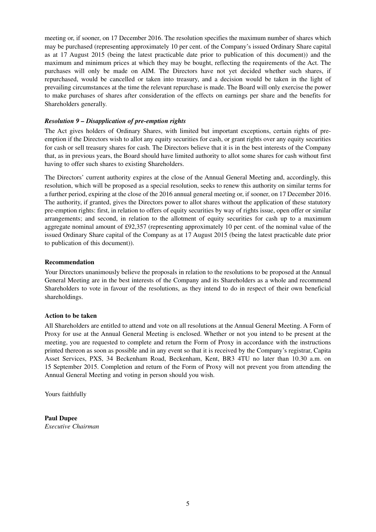meeting or, if sooner, on 17 December 2016. The resolution specifies the maximum number of shares which may be purchased (representing approximately 10 per cent. of the Company's issued Ordinary Share capital as at 17 August 2015 (being the latest practicable date prior to publication of this document)) and the maximum and minimum prices at which they may be bought, reflecting the requirements of the Act. The purchases will only be made on AIM. The Directors have not yet decided whether such shares, if repurchased, would be cancelled or taken into treasury, and a decision would be taken in the light of prevailing circumstances at the time the relevant repurchase is made. The Board will only exercise the power to make purchases of shares after consideration of the effects on earnings per share and the benefits for Shareholders generally.

#### *Resolution 9 – Disapplication of pre-emption rights*

The Act gives holders of Ordinary Shares, with limited but important exceptions, certain rights of preemption if the Directors wish to allot any equity securities for cash, or grant rights over any equity securities for cash or sell treasury shares for cash. The Directors believe that it is in the best interests of the Company that, as in previous years, the Board should have limited authority to allot some shares for cash without first having to offer such shares to existing Shareholders.

The Directors' current authority expires at the close of the Annual General Meeting and, accordingly, this resolution, which will be proposed as a special resolution, seeks to renew this authority on similar terms for a further period, expiring at the close of the 2016 annual general meeting or, if sooner, on 17 December 2016. The authority, if granted, gives the Directors power to allot shares without the application of these statutory pre-emption rights: first, in relation to offers of equity securities by way of rights issue, open offer or similar arrangements; and second, in relation to the allotment of equity securities for cash up to a maximum aggregate nominal amount of £92,357 (representing approximately 10 per cent. of the nominal value of the issued Ordinary Share capital of the Company as at 17 August 2015 (being the latest practicable date prior to publication of this document)).

#### **Recommendation**

Your Directors unanimously believe the proposals in relation to the resolutions to be proposed at the Annual General Meeting are in the best interests of the Company and its Shareholders as a whole and recommend Shareholders to vote in favour of the resolutions, as they intend to do in respect of their own beneficial shareholdings.

#### **Action to be taken**

All Shareholders are entitled to attend and vote on all resolutions at the Annual General Meeting. A Form of Proxy for use at the Annual General Meeting is enclosed. Whether or not you intend to be present at the meeting, you are requested to complete and return the Form of Proxy in accordance with the instructions printed thereon as soon as possible and in any event so that it is received by the Company's registrar, Capita Asset Services, PXS, 34 Beckenham Road, Beckenham, Kent, BR3 4TU no later than 10.30 a.m. on 15 September 2015. Completion and return of the Form of Proxy will not prevent you from attending the Annual General Meeting and voting in person should you wish.

Yours faithfully

**Paul Dupee** *Executive Chairman*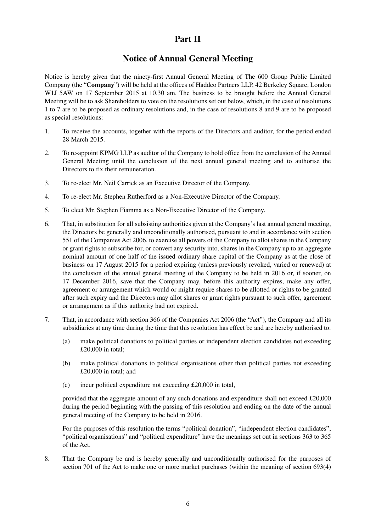### **Part II**

## **Notice of Annual General Meeting**

Notice is hereby given that the ninety-first Annual General Meeting of The 600 Group Public Limited Company (the "**Company**") will be held at the offices of Haddeo Partners LLP, 42 Berkeley Square, London W1J 5AW on 17 September 2015 at 10.30 am. The business to be brought before the Annual General Meeting will be to ask Shareholders to vote on the resolutions set out below, which, in the case of resolutions 1 to 7 are to be proposed as ordinary resolutions and, in the case of resolutions 8 and 9 are to be proposed as special resolutions:

- 1. To receive the accounts, together with the reports of the Directors and auditor, for the period ended 28 March 2015.
- 2. To re-appoint KPMG LLP as auditor of the Company to hold office from the conclusion of the Annual General Meeting until the conclusion of the next annual general meeting and to authorise the Directors to fix their remuneration.
- 3. To re-elect Mr. Neil Carrick as an Executive Director of the Company.
- 4. To re-elect Mr. Stephen Rutherford as a Non-Executive Director of the Company.
- 5. To elect Mr. Stephen Fiamma as a Non-Executive Director of the Company.
- 6. That, in substitution for all subsisting authorities given at the Company's last annual general meeting, the Directors be generally and unconditionally authorised, pursuant to and in accordance with section 551 of the Companies Act 2006, to exercise all powers of the Company to allot shares in the Company or grant rights to subscribe for, or convert any security into, shares in the Company up to an aggregate nominal amount of one half of the issued ordinary share capital of the Company as at the close of business on 17 August 2015 for a period expiring (unless previously revoked, varied or renewed) at the conclusion of the annual general meeting of the Company to be held in 2016 or, if sooner, on 17 December 2016, save that the Company may, before this authority expires, make any offer, agreement or arrangement which would or might require shares to be allotted or rights to be granted after such expiry and the Directors may allot shares or grant rights pursuant to such offer, agreement or arrangement as if this authority had not expired.
- 7. That, in accordance with section 366 of the Companies Act 2006 (the "Act"), the Company and all its subsidiaries at any time during the time that this resolution has effect be and are hereby authorised to:
	- (a) make political donations to political parties or independent election candidates not exceeding £20,000 in total;
	- (b) make political donations to political organisations other than political parties not exceeding £20,000 in total; and
	- (c) incur political expenditure not exceeding £20,000 in total,

provided that the aggregate amount of any such donations and expenditure shall not exceed £20,000 during the period beginning with the passing of this resolution and ending on the date of the annual general meeting of the Company to be held in 2016.

For the purposes of this resolution the terms "political donation", "independent election candidates", "political organisations" and "political expenditure" have the meanings set out in sections 363 to 365 of the Act.

8. That the Company be and is hereby generally and unconditionally authorised for the purposes of section 701 of the Act to make one or more market purchases (within the meaning of section 693(4)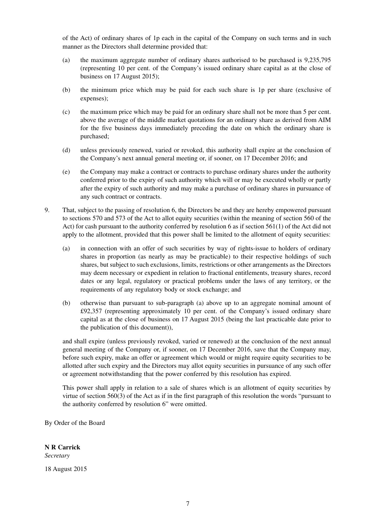of the Act) of ordinary shares of 1p each in the capital of the Company on such terms and in such manner as the Directors shall determine provided that:

- (a) the maximum aggregate number of ordinary shares authorised to be purchased is 9,235,795 (representing 10 per cent. of the Company's issued ordinary share capital as at the close of business on 17 August 2015);
- (b) the minimum price which may be paid for each such share is 1p per share (exclusive of expenses);
- (c) the maximum price which may be paid for an ordinary share shall not be more than 5 per cent. above the average of the middle market quotations for an ordinary share as derived from AIM for the five business days immediately preceding the date on which the ordinary share is purchased;
- (d) unless previously renewed, varied or revoked, this authority shall expire at the conclusion of the Company's next annual general meeting or, if sooner, on 17 December 2016; and
- (e) the Company may make a contract or contracts to purchase ordinary shares under the authority conferred prior to the expiry of such authority which will or may be executed wholly or partly after the expiry of such authority and may make a purchase of ordinary shares in pursuance of any such contract or contracts.
- 9. That, subject to the passing of resolution 6, the Directors be and they are hereby empowered pursuant to sections 570 and 573 of the Act to allot equity securities (within the meaning of section 560 of the Act) for cash pursuant to the authority conferred by resolution 6 as if section 561(1) of the Act did not apply to the allotment, provided that this power shall be limited to the allotment of equity securities:
	- (a) in connection with an offer of such securities by way of rights-issue to holders of ordinary shares in proportion (as nearly as may be practicable) to their respective holdings of such shares, but subject to such exclusions, limits, restrictions or other arrangements as the Directors may deem necessary or expedient in relation to fractional entitlements, treasury shares, record dates or any legal, regulatory or practical problems under the laws of any territory, or the requirements of any regulatory body or stock exchange; and
	- (b) otherwise than pursuant to sub-paragraph (a) above up to an aggregate nominal amount of £92,357 (representing approximately 10 per cent. of the Company's issued ordinary share capital as at the close of business on 17 August 2015 (being the last practicable date prior to the publication of this document)),

and shall expire (unless previously revoked, varied or renewed) at the conclusion of the next annual general meeting of the Company or, if sooner, on 17 December 2016, save that the Company may, before such expiry, make an offer or agreement which would or might require equity securities to be allotted after such expiry and the Directors may allot equity securities in pursuance of any such offer or agreement notwithstanding that the power conferred by this resolution has expired.

This power shall apply in relation to a sale of shares which is an allotment of equity securities by virtue of section 560(3) of the Act as if in the first paragraph of this resolution the words "pursuant to the authority conferred by resolution 6" were omitted.

By Order of the Board

#### **N R Carrick**

*Secretary*

18 August 2015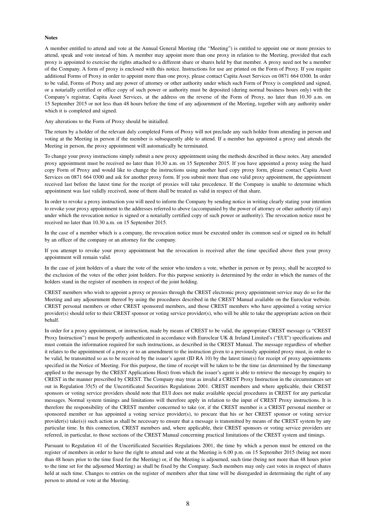#### **Notes**

A member entitled to attend and vote at the Annual General Meeting (the "Meeting") is entitled to appoint one or more proxies to attend, speak and vote instead of him. A member may appoint more than one proxy in relation to the Meeting, provided that each proxy is appointed to exercise the rights attached to a different share or shares held by that member. A proxy need not be a member of the Company. A form of proxy is enclosed with this notice. Instructions for use are printed on the Form of Proxy. If you require additional Forms of Proxy in order to appoint more than one proxy, please contact Capita Asset Services on 0871 664 0300. In order to be valid, Forms of Proxy and any power of attorney or other authority under which such Form of Proxy is completed and signed, or a notarially certified or office copy of such power or authority must be deposited (during normal business hours only) with the Company's registrar, Capita Asset Services, at the address on the reverse of the Form of Proxy, no later than 10.30 a.m. on 15 September 2015 or not less than 48 hours before the time of any adjournment of the Meeting, together with any authority under which it is completed and signed.

Any alterations to the Form of Proxy should be initialled.

The return by a holder of the relevant duly completed Form of Proxy will not preclude any such holder from attending in person and voting at the Meeting in person if the member is subsequently able to attend. If a member has appointed a proxy and attends the Meeting in person, the proxy appointment will automatically be terminated.

To change your proxy instructions simply submit a new proxy appointment using the methods described in these notes. Any amended proxy appointment must be received no later than 10.30 a.m. on 15 September 2015. If you have appointed a proxy using the hard copy Form of Proxy and would like to change the instructions using another hard copy proxy form, please contact Capita Asset Services on 0871 664 0300 and ask for another proxy form. If you submit more than one valid proxy appointment, the appointment received last before the latest time for the receipt of proxies will take precedence. If the Company is unable to determine which appointment was last validly received, none of them shall be treated as valid in respect of that share.

In order to revoke a proxy instruction you will need to inform the Company by sending notice in writing clearly stating your intention to revoke your proxy appointment to the addresses referred to above (accompanied by the power of attorney or other authority (if any) under which the revocation notice is signed or a notarially certified copy of such power or authority). The revocation notice must be received no later than 10.30 a.m. on 15 September 2015.

In the case of a member which is a company, the revocation notice must be executed under its common seal or signed on its behalf by an officer of the company or an attorney for the company.

If you attempt to revoke your proxy appointment but the revocation is received after the time specified above then your proxy appointment will remain valid.

In the case of joint holders of a share the vote of the senior who tenders a vote, whether in person or by proxy, shall be accepted to the exclusion of the votes of the other joint holders. For this purpose seniority is determined by the order in which the names of the holders stand in the register of members in respect of the joint holding.

CREST members who wish to appoint a proxy or proxies through the CREST electronic proxy appointment service may do so for the Meeting and any adjournment thereof by using the procedures described in the CREST Manual available on the Euroclear website. CREST personal members or other CREST sponsored members, and those CREST members who have appointed a voting service provider(s) should refer to their CREST sponsor or voting service provider(s), who will be able to take the appropriate action on their behalf.

In order for a proxy appointment, or instruction, made by means of CREST to be valid, the appropriate CREST message (a "CREST Proxy Instruction") must be properly authenticated in accordance with Euroclear UK & Ireland Limited's ("EUI") specifications and must contain the information required for such instructions, as described in the CREST Manual. The message regardless of whether it relates to the appointment of a proxy or to an amendment to the instruction given to a previously appointed proxy must, in order to be valid, be transmitted so as to be received by the issuer's agent (ID RA 10) by the latest time(s) for receipt of proxy appointments specified in the Notice of Meeting. For this purpose, the time of receipt will be taken to be the time (as determined by the timestamp applied to the message by the CREST Applications Host) from which the issuer's agent is able to retrieve the message by enquiry to CREST in the manner prescribed by CREST. The Company may treat as invalid a CREST Proxy Instruction in the circumstances set out in Regulation 35(5) of the Uncertificated Securities Regulations 2001. CREST members and where applicable, their CREST sponsors or voting service providers should note that EUI does not make available special procedures in CREST for any particular messages. Normal system timings and limitations will therefore apply in relation to the input of CREST Proxy instructions. It is therefore the responsibility of the CREST member concerned to take (or, if the CREST member is a CREST personal member or sponsored member or has appointed a voting service provider(s), to procure that his or her CREST sponsor or voting service provider(s) take(s)) such action as shall be necessary to ensure that a message is transmitted by means of the CREST system by any particular time. In this connection, CREST members and, where applicable, their CREST sponsors or voting service providers are referred, in particular, to those sections of the CREST Manual concerning practical limitations of the CREST system and timings.

Pursuant to Regulation 41 of the Uncertificated Securities Regulations 2001, the time by which a person must be entered on the register of members in order to have the right to attend and vote at the Meeting is 6.00 p.m. on 15 September 2015 (being not more than 48 hours prior to the time fixed for the Meeting) or, if the Meeting is adjourned, such time (being not more than 48 hours prior to the time set for the adjourned Meeting) as shall be fixed by the Company. Such members may only cast votes in respect of shares held at such time. Changes to entries on the register of members after that time will be disregarded in determining the right of any person to attend or vote at the Meeting.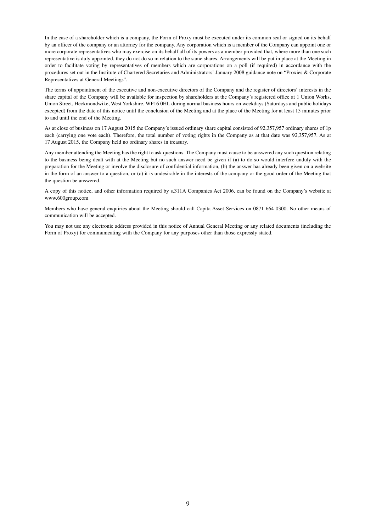In the case of a shareholder which is a company, the Form of Proxy must be executed under its common seal or signed on its behalf by an officer of the company or an attorney for the company. Any corporation which is a member of the Company can appoint one or more corporate representatives who may exercise on its behalf all of its powers as a member provided that, where more than one such representative is duly appointed, they do not do so in relation to the same shares. Arrangements will be put in place at the Meeting in order to facilitate voting by representatives of members which are corporations on a poll (if required) in accordance with the procedures set out in the Institute of Chartered Secretaries and Administrators' January 2008 guidance note on "Proxies & Corporate Representatives at General Meetings".

The terms of appointment of the executive and non-executive directors of the Company and the register of directors' interests in the share capital of the Company will be available for inspection by shareholders at the Company's registered office at 1 Union Works, Union Street, Heckmondwike, West Yorkshire, WF16 0HL during normal business hours on weekdays (Saturdays and public holidays excepted) from the date of this notice until the conclusion of the Meeting and at the place of the Meeting for at least 15 minutes prior to and until the end of the Meeting.

As at close of business on 17 August 2015 the Company's issued ordinary share capital consisted of 92,357,957 ordinary shares of 1p each (carrying one vote each). Therefore, the total number of voting rights in the Company as at that date was 92,357,957. As at 17 August 2015, the Company held no ordinary shares in treasury.

Any member attending the Meeting has the right to ask questions. The Company must cause to be answered any such question relating to the business being dealt with at the Meeting but no such answer need be given if (a) to do so would interfere unduly with the preparation for the Meeting or involve the disclosure of confidential information, (b) the answer has already been given on a website in the form of an answer to a question, or (c) it is undesirable in the interests of the company or the good order of the Meeting that the question be answered.

A copy of this notice, and other information required by s.311A Companies Act 2006, can be found on the Company's website at www.600group.com

Members who have general enquiries about the Meeting should call Capita Asset Services on 0871 664 0300. No other means of communication will be accepted.

You may not use any electronic address provided in this notice of Annual General Meeting or any related documents (including the Form of Proxy) for communicating with the Company for any purposes other than those expressly stated.